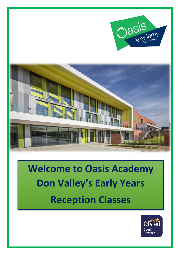



# **Welcome to Oasis Academy Don Valley's Early Years Reception Classes**

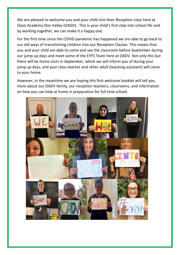We are pleased to welcome you and your child into their Reception class here at Oasis Academy Don Valley (OADV). This is your child's first step into school life and by working together, we can make it a happy one.

For the first time since the COVID pandemic has happened we are able to go back to our old ways of transitioning children into our Reception Classes. This means that you and your child are able to come and see the classroom before September during our jump up days and meet some of the EYFS Team here at OADV. Not only this but there will be home visits in September, which we will inform you of during your jump up days, and your class teacher and other adult (teaching assistant) will come to your home.

However, in the meantime we are hoping this first welcome booklet will tell you more about our OADV family, our reception teachers, classrooms, and information on how you can help at home in preparation for full time school.

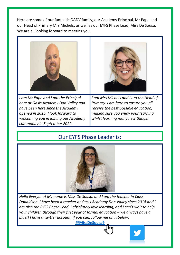Here are some of our fantastic OADV family; our Academy Principal, Mr Pape and our Head of Primary Mrs Michels, as well as our EYFS Phase Lead, Miss De Sousa. We are all looking forward to meeting you.



*I am Mr Pape and I am the Principal here at Oasis Academy Don Valley and have been here since the Academy opened in 2015. I look forward to welcoming you in joining our Academy community in September 2022.*

*I am Mrs Michels and I am the Head of Primary. I am here to ensure you all receive the best possible education, making sure you enjoy your learning whilst learning many new things!*

## Our EYFS Phase Leader is:



*Hello Everyone! My name is Miss De Sousa, and I am the teacher in Class Donaldson. I have been a teacher at Oasis Academy Don Valley since 2018 and I am also the EYFS Phase Lead. I absolutely love learning, and I can't wait to help your children through their first year of formal education – we always have a blast! I have a twitter account, if you can, follow me on it below:*

**[@MissDeSousa9](https://twitter.com/MissDeSousa9)**

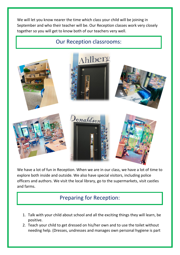We will let you know nearer the time which class your child will be joining in September and who their teacher will be. Our Reception classes work very closely together so you will get to know both of our teachers very well.

#### Our Reception classrooms:



We have a lot of fun in Reception. When we are in our class, we have a lot of time to explore both inside and outside. We also have special visitors, including police officers and authors. We visit the local library, go to the supermarkets, visit castles and farms.

### Preparing for Reception:

- 1. Talk with your child about school and all the exciting things they will learn, be positive.
- 2. Teach your child to get dressed on his/her own and to use the toilet without needing help. (Dresses, undresses and manages own personal hygiene is part